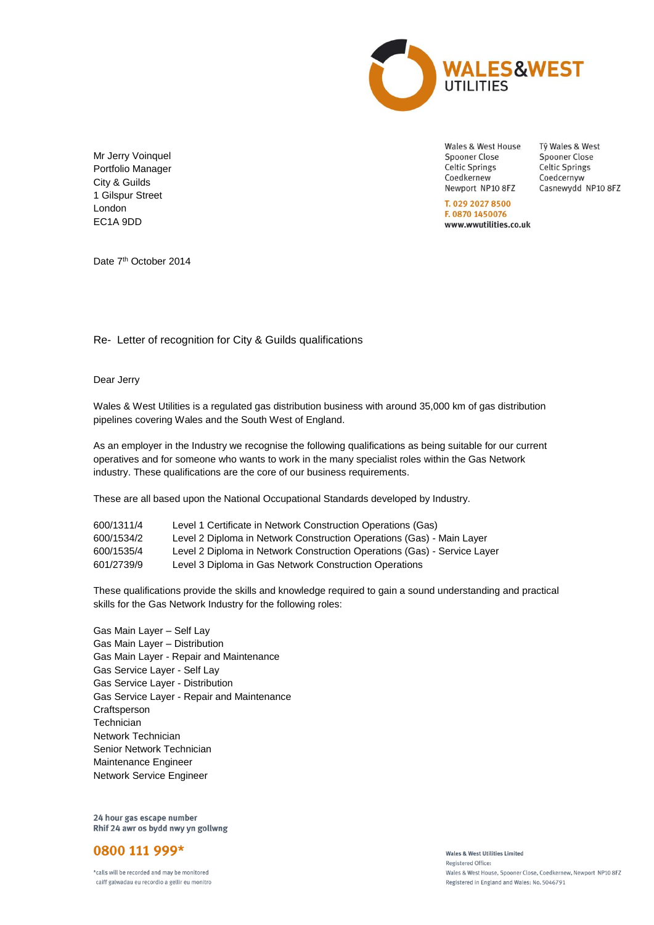

Mr Jerry Voinquel Portfolio Manager City & Guilds 1 Gilspur Street London EC1A 9DD

**Wales & West House Spooner Close Celtic Springs** Coedkernew Newport NP10 8FZ Tŷ Wales & West **Spooner Close Celtic Springs** Coedcernyw Casnewydd NP10 8FZ

T. 029 2027 8500 F. 0870 1450076 www.wwutilities.co.uk

Date 7<sup>th</sup> October 2014

## Re- Letter of recognition for City & Guilds qualifications

## Dear Jerry

Wales & West Utilities is a regulated gas distribution business with around 35,000 km of gas distribution pipelines covering Wales and the South West of England.

As an employer in the Industry we recognise the following qualifications as being suitable for our current operatives and for someone who wants to work in the many specialist roles within the Gas Network industry. These qualifications are the core of our business requirements.

These are all based upon the National Occupational Standards developed by Industry.

| 600/1311/4 | Level 1 Certificate in Network Construction Operations (Gas)             |
|------------|--------------------------------------------------------------------------|
| 600/1534/2 | Level 2 Diploma in Network Construction Operations (Gas) - Main Layer    |
| 600/1535/4 | Level 2 Diploma in Network Construction Operations (Gas) - Service Layer |
| 601/2739/9 | Level 3 Diploma in Gas Network Construction Operations                   |

These qualifications provide the skills and knowledge required to gain a sound understanding and practical skills for the Gas Network Industry for the following roles:

Gas Main Layer – Self Lay Gas Main Layer – Distribution Gas Main Layer - Repair and Maintenance Gas Service Layer - Self Lay Gas Service Layer - Distribution Gas Service Layer - Repair and Maintenance **Craftsperson Technician** Network Technician Senior Network Technician Maintenance Engineer Network Service Engineer

24 hour gas escape number Rhif 24 awr os bydd nwy yn gollwng

## 0800 111 999\*

\*calls will be recorded and may be monitored caiff galwadau eu recordio a gellir eu monitro